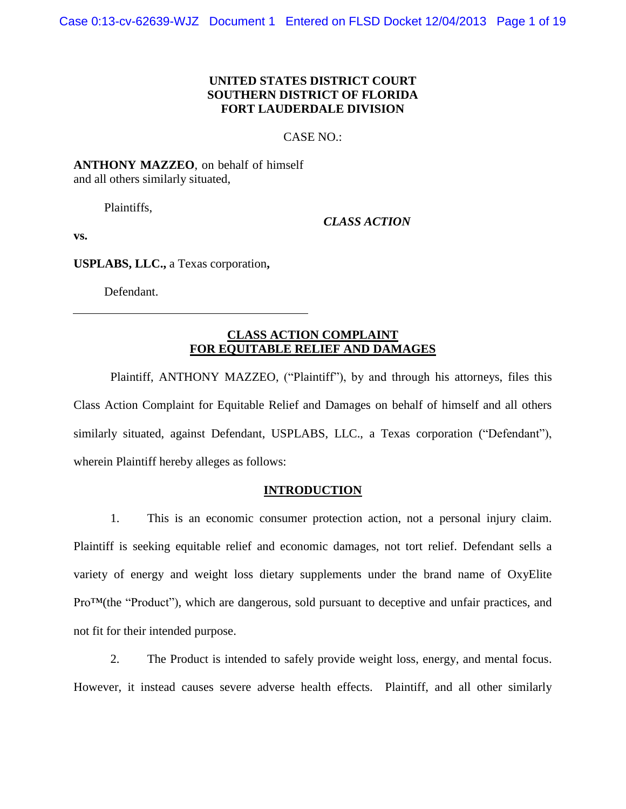# **UNITED STATES DISTRICT COURT SOUTHERN DISTRICT OF FLORIDA FORT LAUDERDALE DIVISION**

## CASE NO.:

**ANTHONY MAZZEO**, on behalf of himself and all others similarly situated,

Plaintiffs,

*CLASS ACTION*

**vs.**

**USPLABS, LLC.,** a Texas corporation**,**

Defendant.

# **CLASS ACTION COMPLAINT FOR EQUITABLE RELIEF AND DAMAGES**

Plaintiff, ANTHONY MAZZEO, ("Plaintiff"), by and through his attorneys, files this Class Action Complaint for Equitable Relief and Damages on behalf of himself and all others similarly situated, against Defendant, USPLABS, LLC., a Texas corporation ("Defendant"), wherein Plaintiff hereby alleges as follows:

#### **INTRODUCTION**

1. This is an economic consumer protection action, not a personal injury claim. Plaintiff is seeking equitable relief and economic damages, not tort relief. Defendant sells a variety of energy and weight loss dietary supplements under the brand name of OxyElite Pro™(the "Product"), which are dangerous, sold pursuant to deceptive and unfair practices, and not fit for their intended purpose.

2. The Product is intended to safely provide weight loss, energy, and mental focus. However, it instead causes severe adverse health effects. Plaintiff, and all other similarly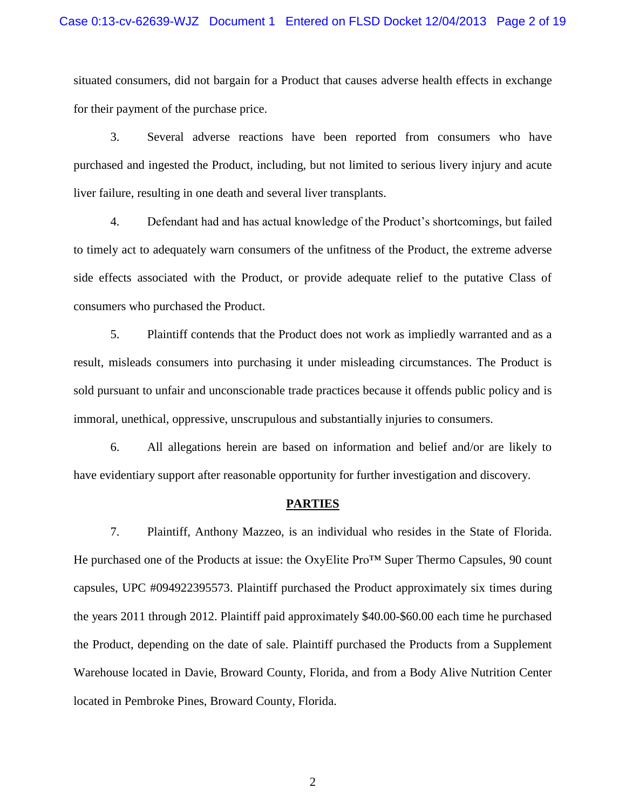situated consumers, did not bargain for a Product that causes adverse health effects in exchange for their payment of the purchase price.

3. Several adverse reactions have been reported from consumers who have purchased and ingested the Product, including, but not limited to serious livery injury and acute liver failure, resulting in one death and several liver transplants.

4. Defendant had and has actual knowledge of the Product's shortcomings, but failed to timely act to adequately warn consumers of the unfitness of the Product, the extreme adverse side effects associated with the Product, or provide adequate relief to the putative Class of consumers who purchased the Product.

5. Plaintiff contends that the Product does not work as impliedly warranted and as a result, misleads consumers into purchasing it under misleading circumstances. The Product is sold pursuant to unfair and unconscionable trade practices because it offends public policy and is immoral, unethical, oppressive, unscrupulous and substantially injuries to consumers.

6. All allegations herein are based on information and belief and/or are likely to have evidentiary support after reasonable opportunity for further investigation and discovery.

#### **PARTIES**

7. Plaintiff, Anthony Mazzeo, is an individual who resides in the State of Florida. He purchased one of the Products at issue: the OxyElite Pro™ Super Thermo Capsules, 90 count capsules, UPC #094922395573. Plaintiff purchased the Product approximately six times during the years 2011 through 2012. Plaintiff paid approximately \$40.00-\$60.00 each time he purchased the Product, depending on the date of sale. Plaintiff purchased the Products from a Supplement Warehouse located in Davie, Broward County, Florida, and from a Body Alive Nutrition Center located in Pembroke Pines, Broward County, Florida.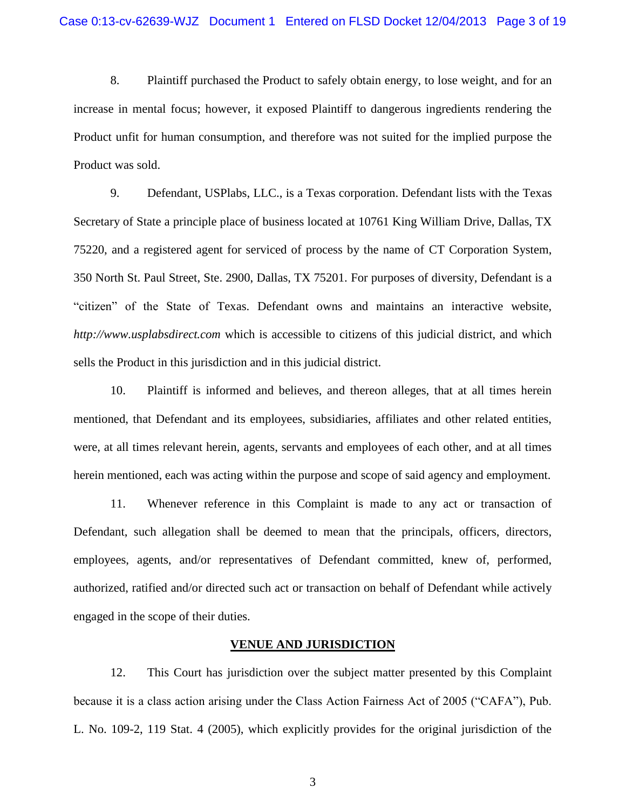8. Plaintiff purchased the Product to safely obtain energy, to lose weight, and for an increase in mental focus; however, it exposed Plaintiff to dangerous ingredients rendering the Product unfit for human consumption, and therefore was not suited for the implied purpose the Product was sold.

9. Defendant, USPlabs, LLC., is a Texas corporation. Defendant lists with the Texas Secretary of State a principle place of business located at 10761 King William Drive, Dallas, TX 75220, and a registered agent for serviced of process by the name of CT Corporation System, 350 North St. Paul Street, Ste. 2900, Dallas, TX 75201. For purposes of diversity, Defendant is a "citizen" of the State of Texas. Defendant owns and maintains an interactive website, *http://www.usplabsdirect.com* which is accessible to citizens of this judicial district, and which sells the Product in this jurisdiction and in this judicial district.

10. Plaintiff is informed and believes, and thereon alleges, that at all times herein mentioned, that Defendant and its employees, subsidiaries, affiliates and other related entities, were, at all times relevant herein, agents, servants and employees of each other, and at all times herein mentioned, each was acting within the purpose and scope of said agency and employment.

11. Whenever reference in this Complaint is made to any act or transaction of Defendant, such allegation shall be deemed to mean that the principals, officers, directors, employees, agents, and/or representatives of Defendant committed, knew of, performed, authorized, ratified and/or directed such act or transaction on behalf of Defendant while actively engaged in the scope of their duties.

#### **VENUE AND JURISDICTION**

12. This Court has jurisdiction over the subject matter presented by this Complaint because it is a class action arising under the Class Action Fairness Act of 2005 ("CAFA"), Pub. L. No. 109-2, 119 Stat. 4 (2005), which explicitly provides for the original jurisdiction of the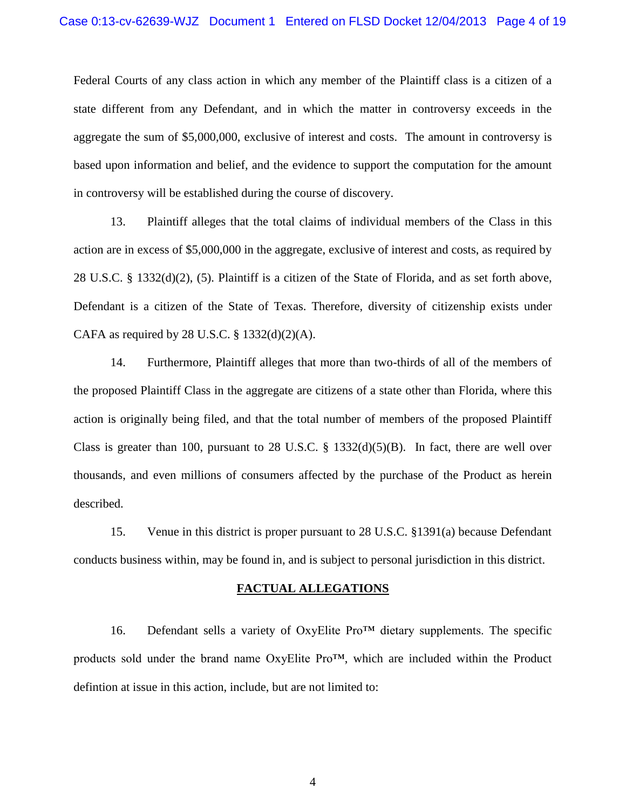Federal Courts of any class action in which any member of the Plaintiff class is a citizen of a state different from any Defendant, and in which the matter in controversy exceeds in the aggregate the sum of \$5,000,000, exclusive of interest and costs. The amount in controversy is based upon information and belief, and the evidence to support the computation for the amount in controversy will be established during the course of discovery.

13. Plaintiff alleges that the total claims of individual members of the Class in this action are in excess of \$5,000,000 in the aggregate, exclusive of interest and costs, as required by 28 U.S.C. § 1332(d)(2), (5). Plaintiff is a citizen of the State of Florida, and as set forth above, Defendant is a citizen of the State of Texas. Therefore, diversity of citizenship exists under CAFA as required by 28 U.S.C.  $\S$  1332(d)(2)(A).

14. Furthermore, Plaintiff alleges that more than two-thirds of all of the members of the proposed Plaintiff Class in the aggregate are citizens of a state other than Florida, where this action is originally being filed, and that the total number of members of the proposed Plaintiff Class is greater than 100, pursuant to 28 U.S.C.  $\S$  1332(d)(5)(B). In fact, there are well over thousands, and even millions of consumers affected by the purchase of the Product as herein described.

15. Venue in this district is proper pursuant to 28 U.S.C. §1391(a) because Defendant conducts business within, may be found in, and is subject to personal jurisdiction in this district.

#### **FACTUAL ALLEGATIONS**

16. Defendant sells a variety of OxyElite Pro™ dietary supplements. The specific products sold under the brand name OxyElite Pro™, which are included within the Product defintion at issue in this action, include, but are not limited to: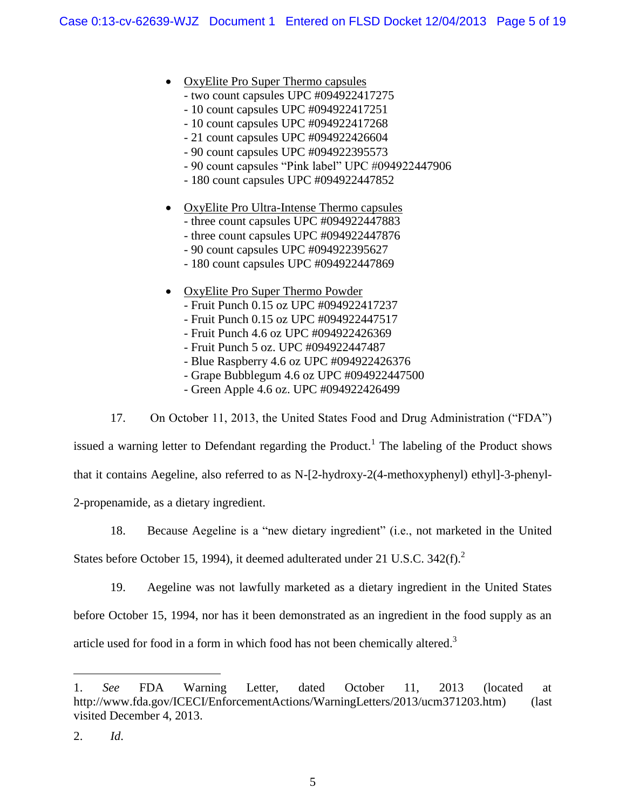- OxyElite Pro Super Thermo capsules
	- two count capsules UPC #094922417275
	- 10 count capsules UPC #094922417251
	- 10 count capsules UPC #094922417268
	- 21 count capsules UPC #094922426604
	- 90 count capsules UPC #094922395573
	- 90 count capsules "Pink label" UPC #094922447906
	- 180 count capsules UPC #094922447852
- OxyElite Pro Ultra-Intense Thermo capsules
	- three count capsules UPC #094922447883
	- three count capsules UPC #094922447876
	- 90 count capsules UPC #094922395627
	- 180 count capsules UPC #094922447869
- OxyElite Pro Super Thermo Powder
	- Fruit Punch 0.15 oz UPC #094922417237
	- Fruit Punch 0.15 oz UPC #094922447517
	- Fruit Punch 4.6 oz UPC #094922426369
	- Fruit Punch 5 oz. UPC #094922447487
	- Blue Raspberry 4.6 oz UPC #094922426376
	- Grape Bubblegum 4.6 oz UPC #094922447500
	- Green Apple 4.6 oz. UPC #094922426499

17. On October 11, 2013, the United States Food and Drug Administration ("FDA")

issued a warning letter to Defendant regarding the Product.<sup>1</sup> The labeling of the Product shows that it contains Aegeline, also referred to as N-[2-hydroxy-2(4-methoxyphenyl) ethyl]-3-phenyl-2-propenamide, as a dietary ingredient.

18. Because Aegeline is a "new dietary ingredient" (i.e., not marketed in the United States before October 15, 1994), it deemed adulterated under 21 U.S.C.  $342(f)$ .

19. Aegeline was not lawfully marketed as a dietary ingredient in the United States before October 15, 1994, nor has it been demonstrated as an ingredient in the food supply as an article used for food in a form in which food has not been chemically altered.<sup>3</sup>

 $\overline{a}$ 

<sup>1.</sup> *See* FDA Warning Letter, dated October 11, 2013 (located at [http://www.fda.gov/ICECI/EnforcementActions/WarningLetters/2013/ucm371203.htm\)](http://www.fda.gov/ICECI/EnforcementActions/WarningLetters/2013/ucm371203.htm) (last visited December 4, 2013.

<sup>2.</sup> *Id*.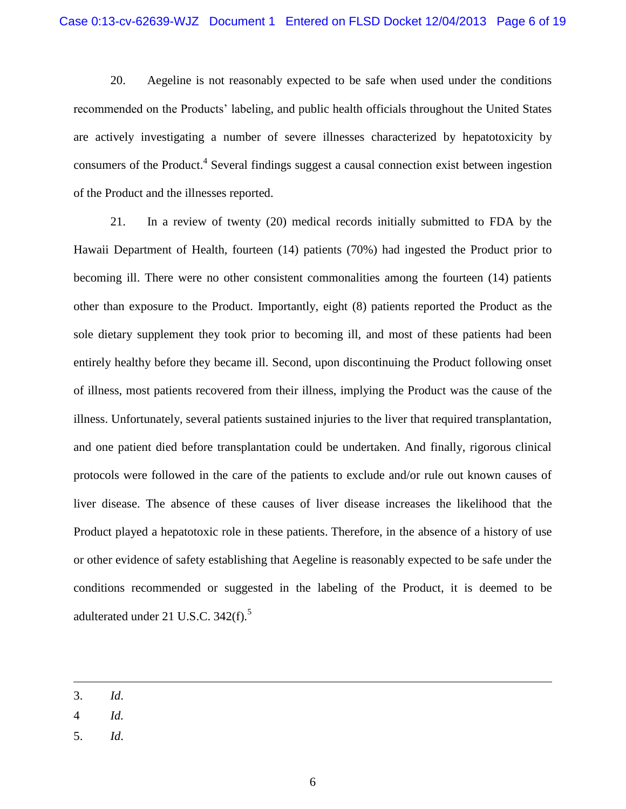20. Aegeline is not reasonably expected to be safe when used under the conditions recommended on the Products' labeling, and public health officials throughout the United States are actively investigating a number of severe illnesses characterized by hepatotoxicity by consumers of the Product.<sup>4</sup> Several findings suggest a causal connection exist between ingestion of the Product and the illnesses reported.

21. In a review of twenty (20) medical records initially submitted to FDA by the Hawaii Department of Health, fourteen (14) patients (70%) had ingested the Product prior to becoming ill. There were no other consistent commonalities among the fourteen (14) patients other than exposure to the Product. Importantly, eight (8) patients reported the Product as the sole dietary supplement they took prior to becoming ill, and most of these patients had been entirely healthy before they became ill. Second, upon discontinuing the Product following onset of illness, most patients recovered from their illness, implying the Product was the cause of the illness. Unfortunately, several patients sustained injuries to the liver that required transplantation, and one patient died before transplantation could be undertaken. And finally, rigorous clinical protocols were followed in the care of the patients to exclude and/or rule out known causes of liver disease. The absence of these causes of liver disease increases the likelihood that the Product played a hepatotoxic role in these patients. Therefore, in the absence of a history of use or other evidence of safety establishing that Aegeline is reasonably expected to be safe under the conditions recommended or suggested in the labeling of the Product, it is deemed to be adulterated under 21 U.S.C.  $342(f)$ .<sup>5</sup>

 $\overline{a}$ 

5. *Id*.

<sup>3.</sup> *Id*.

<sup>4</sup> *Id.*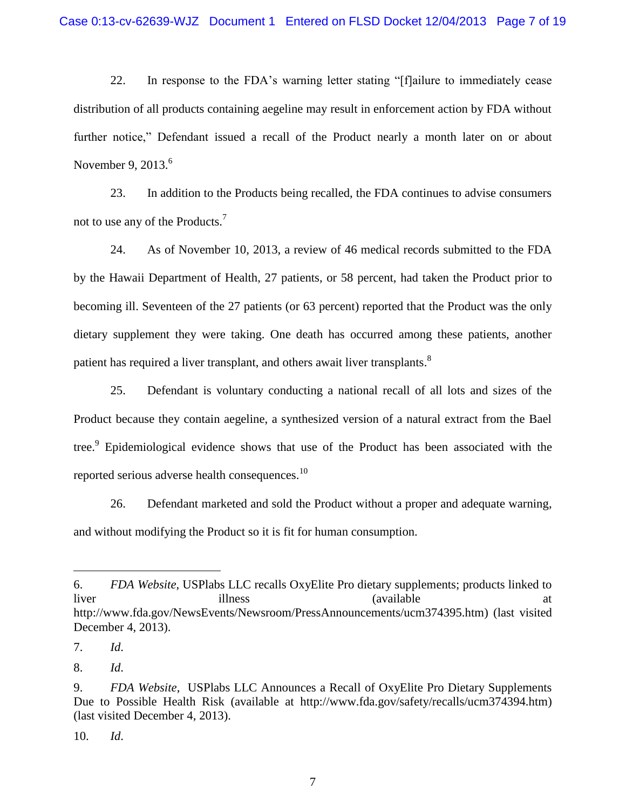22. In response to the FDA's warning letter stating "[f]ailure to immediately cease distribution of all products containing aegeline may result in enforcement action by FDA without further notice," Defendant issued a recall of the Product nearly a month later on or about November 9, 2013.<sup>6</sup>

23. In addition to the Products being recalled, the FDA continues to advise consumers not to use any of the Products.<sup>7</sup>

24. As of November 10, 2013, a review of 46 medical records submitted to the FDA by the Hawaii Department of Health, 27 patients, or 58 percent, had taken the Product prior to becoming ill. Seventeen of the 27 patients (or 63 percent) reported that the Product was the only dietary supplement they were taking. One death has occurred among these patients, another patient has required a liver transplant, and others await liver transplants.<sup>8</sup>

25. Defendant is voluntary conducting a national recall of all lots and sizes of the Product because they contain aegeline, a synthesized version of a natural extract from the Bael tree.<sup>9</sup> Epidemiological evidence shows that use of the Product has been associated with the reported serious adverse health consequences.<sup>10</sup>

26. Defendant marketed and sold the Product without a proper and adequate warning, and without modifying the Product so it is fit for human consumption.

 $\overline{a}$ 

10. *Id*.

<sup>6.</sup> *FDA Website*, USPlabs LLC recalls OxyElite Pro dietary supplements; products linked to liver illness (available at [http://www.fda.gov/NewsEvents/Newsroom/PressAnnouncements/ucm374395.htm\)](http://www.fda.gov/NewsEvents/Newsroom/PressAnnouncements/ucm374395.htm) (last visited December 4, 2013).

<sup>7.</sup> *Id*.

<sup>8.</sup> *Id*.

<sup>9.</sup> *FDA Website*, USPlabs LLC Announces a Recall of OxyElite Pro Dietary Supplements Due to Possible Health Risk (available at [http://www.fda.gov/safety/recalls/ucm374394.htm\)](http://www.fda.gov/safety/recalls/ucm374394.htm) (last visited December 4, 2013).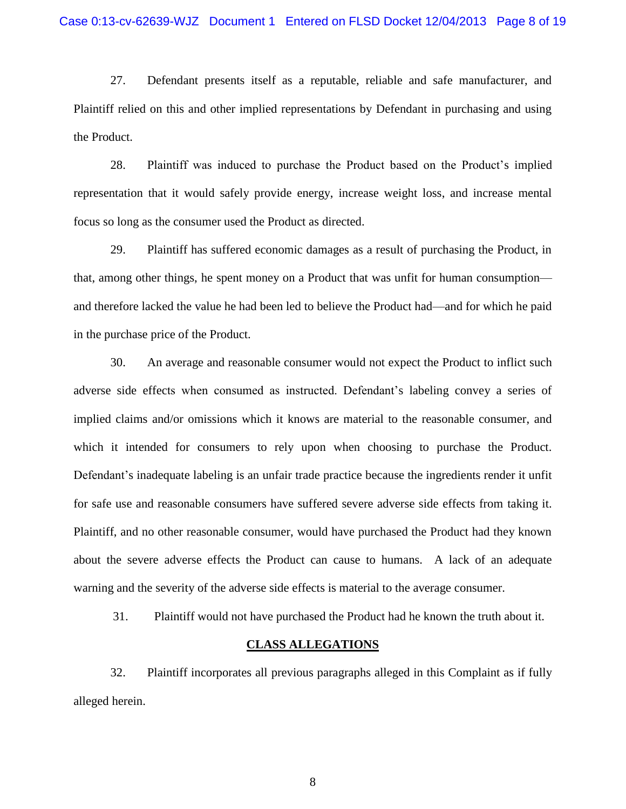27. Defendant presents itself as a reputable, reliable and safe manufacturer, and Plaintiff relied on this and other implied representations by Defendant in purchasing and using the Product.

28. Plaintiff was induced to purchase the Product based on the Product's implied representation that it would safely provide energy, increase weight loss, and increase mental focus so long as the consumer used the Product as directed.

29. Plaintiff has suffered economic damages as a result of purchasing the Product, in that, among other things, he spent money on a Product that was unfit for human consumption and therefore lacked the value he had been led to believe the Product had—and for which he paid in the purchase price of the Product.

30. An average and reasonable consumer would not expect the Product to inflict such adverse side effects when consumed as instructed. Defendant's labeling convey a series of implied claims and/or omissions which it knows are material to the reasonable consumer, and which it intended for consumers to rely upon when choosing to purchase the Product. Defendant's inadequate labeling is an unfair trade practice because the ingredients render it unfit for safe use and reasonable consumers have suffered severe adverse side effects from taking it. Plaintiff, and no other reasonable consumer, would have purchased the Product had they known about the severe adverse effects the Product can cause to humans. A lack of an adequate warning and the severity of the adverse side effects is material to the average consumer.

31. Plaintiff would not have purchased the Product had he known the truth about it.

# **CLASS ALLEGATIONS**

32. Plaintiff incorporates all previous paragraphs alleged in this Complaint as if fully alleged herein.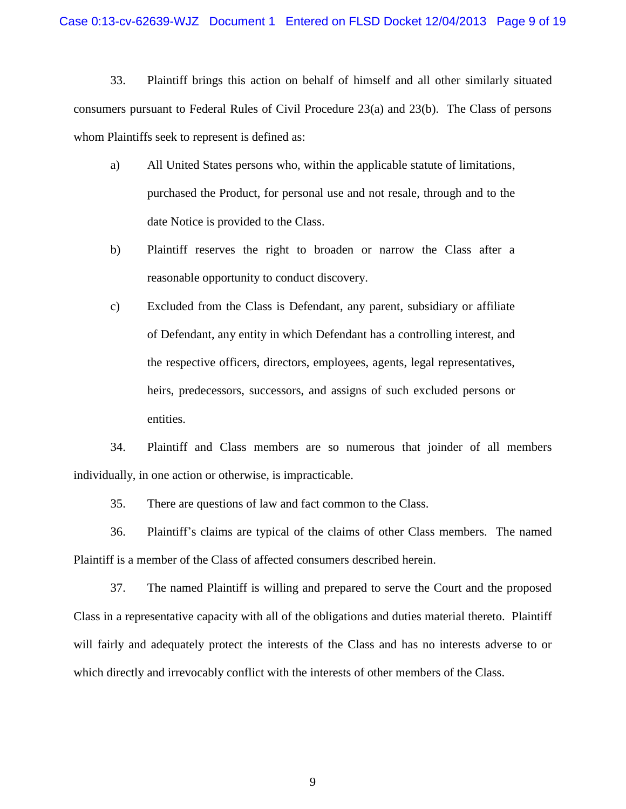33. Plaintiff brings this action on behalf of himself and all other similarly situated consumers pursuant to Federal Rules of Civil Procedure 23(a) and 23(b). The Class of persons whom Plaintiffs seek to represent is defined as:

- a) All United States persons who, within the applicable statute of limitations, purchased the Product, for personal use and not resale, through and to the date Notice is provided to the Class.
- b) Plaintiff reserves the right to broaden or narrow the Class after a reasonable opportunity to conduct discovery.
- c) Excluded from the Class is Defendant, any parent, subsidiary or affiliate of Defendant, any entity in which Defendant has a controlling interest, and the respective officers, directors, employees, agents, legal representatives, heirs, predecessors, successors, and assigns of such excluded persons or entities.

34. Plaintiff and Class members are so numerous that joinder of all members individually, in one action or otherwise, is impracticable.

35. There are questions of law and fact common to the Class.

36. Plaintiff's claims are typical of the claims of other Class members. The named Plaintiff is a member of the Class of affected consumers described herein.

37. The named Plaintiff is willing and prepared to serve the Court and the proposed Class in a representative capacity with all of the obligations and duties material thereto. Plaintiff will fairly and adequately protect the interests of the Class and has no interests adverse to or which directly and irrevocably conflict with the interests of other members of the Class.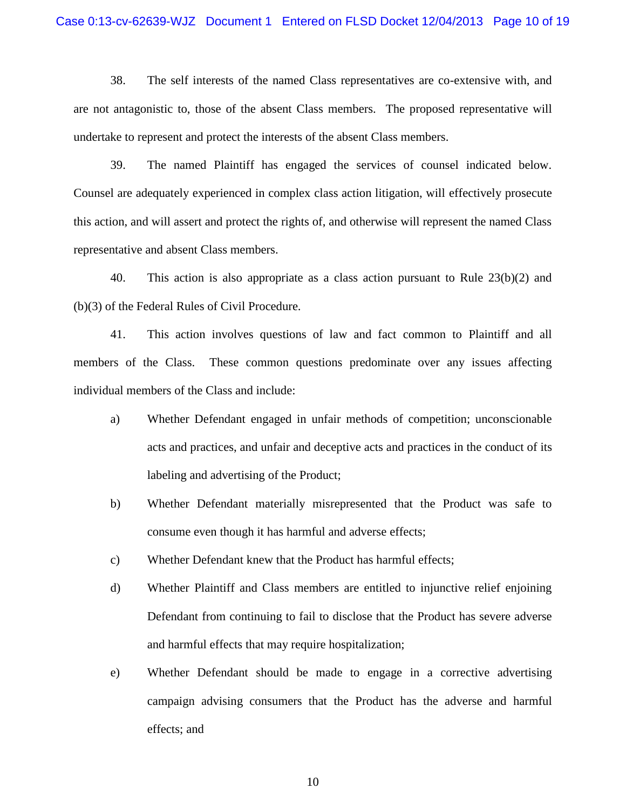#### Case 0:13-cv-62639-WJZ Document 1 Entered on FLSD Docket 12/04/2013 Page 10 of 19

38. The self interests of the named Class representatives are co-extensive with, and are not antagonistic to, those of the absent Class members. The proposed representative will undertake to represent and protect the interests of the absent Class members.

39. The named Plaintiff has engaged the services of counsel indicated below. Counsel are adequately experienced in complex class action litigation, will effectively prosecute this action, and will assert and protect the rights of, and otherwise will represent the named Class representative and absent Class members.

40. This action is also appropriate as a class action pursuant to Rule 23(b)(2) and (b)(3) of the Federal Rules of Civil Procedure.

41. This action involves questions of law and fact common to Plaintiff and all members of the Class. These common questions predominate over any issues affecting individual members of the Class and include:

- a) Whether Defendant engaged in unfair methods of competition; unconscionable acts and practices, and unfair and deceptive acts and practices in the conduct of its labeling and advertising of the Product;
- b) Whether Defendant materially misrepresented that the Product was safe to consume even though it has harmful and adverse effects;
- c) Whether Defendant knew that the Product has harmful effects;
- d) Whether Plaintiff and Class members are entitled to injunctive relief enjoining Defendant from continuing to fail to disclose that the Product has severe adverse and harmful effects that may require hospitalization;
- e) Whether Defendant should be made to engage in a corrective advertising campaign advising consumers that the Product has the adverse and harmful effects; and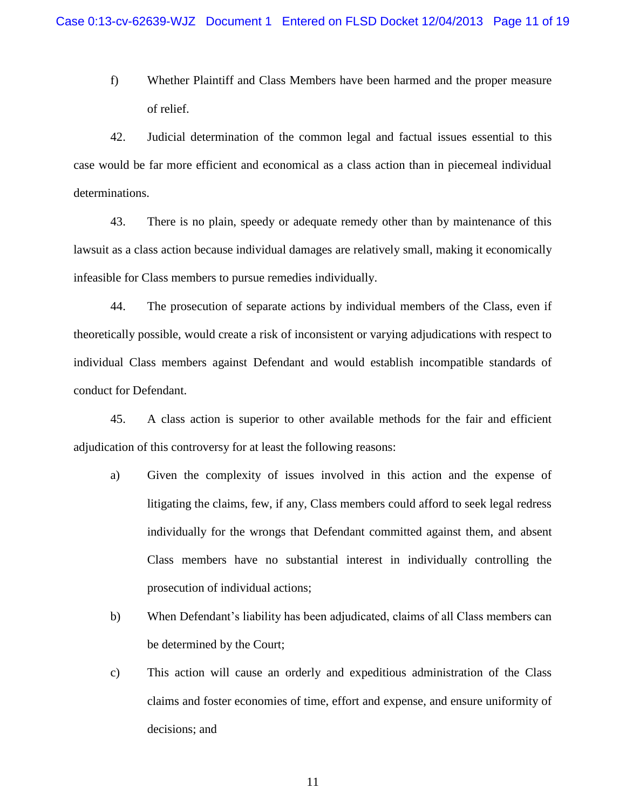f) Whether Plaintiff and Class Members have been harmed and the proper measure of relief.

42. Judicial determination of the common legal and factual issues essential to this case would be far more efficient and economical as a class action than in piecemeal individual determinations.

43. There is no plain, speedy or adequate remedy other than by maintenance of this lawsuit as a class action because individual damages are relatively small, making it economically infeasible for Class members to pursue remedies individually.

44. The prosecution of separate actions by individual members of the Class, even if theoretically possible, would create a risk of inconsistent or varying adjudications with respect to individual Class members against Defendant and would establish incompatible standards of conduct for Defendant.

45. A class action is superior to other available methods for the fair and efficient adjudication of this controversy for at least the following reasons:

- a) Given the complexity of issues involved in this action and the expense of litigating the claims, few, if any, Class members could afford to seek legal redress individually for the wrongs that Defendant committed against them, and absent Class members have no substantial interest in individually controlling the prosecution of individual actions;
- b) When Defendant's liability has been adjudicated, claims of all Class members can be determined by the Court;
- c) This action will cause an orderly and expeditious administration of the Class claims and foster economies of time, effort and expense, and ensure uniformity of decisions; and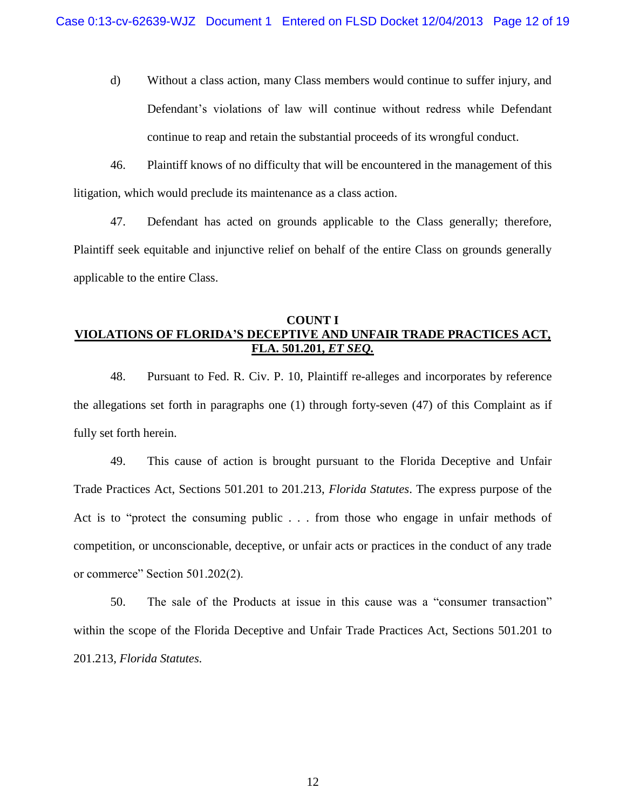d) Without a class action, many Class members would continue to suffer injury, and Defendant's violations of law will continue without redress while Defendant continue to reap and retain the substantial proceeds of its wrongful conduct.

46. Plaintiff knows of no difficulty that will be encountered in the management of this litigation, which would preclude its maintenance as a class action.

47. Defendant has acted on grounds applicable to the Class generally; therefore, Plaintiff seek equitable and injunctive relief on behalf of the entire Class on grounds generally applicable to the entire Class.

# **COUNT I VIOLATIONS OF FLORIDA'S DECEPTIVE AND UNFAIR TRADE PRACTICES ACT, FLA. 501.201,** *ET SEQ.*

48. Pursuant to Fed. R. Civ. P. 10, Plaintiff re-alleges and incorporates by reference the allegations set forth in paragraphs one (1) through forty-seven (47) of this Complaint as if fully set forth herein.

49. This cause of action is brought pursuant to the Florida Deceptive and Unfair Trade Practices Act, Sections 501.201 to 201.213, *Florida Statutes*. The express purpose of the Act is to "protect the consuming public . . . from those who engage in unfair methods of competition, or unconscionable, deceptive, or unfair acts or practices in the conduct of any trade or commerce" Section 501.202(2).

50. The sale of the Products at issue in this cause was a "consumer transaction" within the scope of the Florida Deceptive and Unfair Trade Practices Act, Sections 501.201 to 201.213, *Florida Statutes*.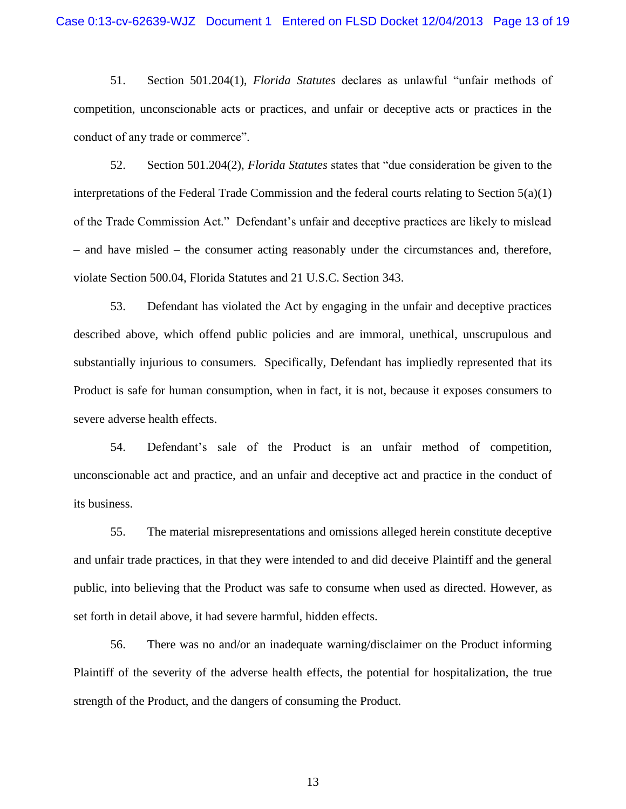51. Section 501.204(1), *Florida Statutes* declares as unlawful "unfair methods of competition, unconscionable acts or practices, and unfair or deceptive acts or practices in the conduct of any trade or commerce".

52. Section 501.204(2), *Florida Statutes* states that "due consideration be given to the interpretations of the Federal Trade Commission and the federal courts relating to Section  $5(a)(1)$ of the Trade Commission Act." Defendant's unfair and deceptive practices are likely to mislead – and have misled – the consumer acting reasonably under the circumstances and, therefore, violate Section 500.04, Florida Statutes and 21 U.S.C. Section 343.

53. Defendant has violated the Act by engaging in the unfair and deceptive practices described above, which offend public policies and are immoral, unethical, unscrupulous and substantially injurious to consumers. Specifically, Defendant has impliedly represented that its Product is safe for human consumption, when in fact, it is not, because it exposes consumers to severe adverse health effects.

54. Defendant's sale of the Product is an unfair method of competition, unconscionable act and practice, and an unfair and deceptive act and practice in the conduct of its business.

55. The material misrepresentations and omissions alleged herein constitute deceptive and unfair trade practices, in that they were intended to and did deceive Plaintiff and the general public, into believing that the Product was safe to consume when used as directed. However, as set forth in detail above, it had severe harmful, hidden effects.

56. There was no and/or an inadequate warning/disclaimer on the Product informing Plaintiff of the severity of the adverse health effects, the potential for hospitalization, the true strength of the Product, and the dangers of consuming the Product.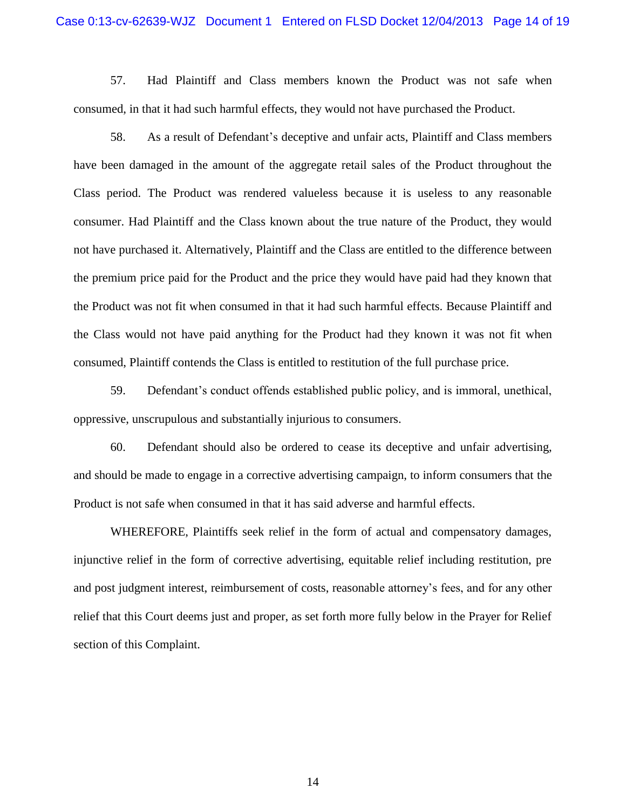57. Had Plaintiff and Class members known the Product was not safe when consumed, in that it had such harmful effects, they would not have purchased the Product.

58. As a result of Defendant's deceptive and unfair acts, Plaintiff and Class members have been damaged in the amount of the aggregate retail sales of the Product throughout the Class period. The Product was rendered valueless because it is useless to any reasonable consumer. Had Plaintiff and the Class known about the true nature of the Product, they would not have purchased it. Alternatively, Plaintiff and the Class are entitled to the difference between the premium price paid for the Product and the price they would have paid had they known that the Product was not fit when consumed in that it had such harmful effects. Because Plaintiff and the Class would not have paid anything for the Product had they known it was not fit when consumed, Plaintiff contends the Class is entitled to restitution of the full purchase price.

59. Defendant's conduct offends established public policy, and is immoral, unethical, oppressive, unscrupulous and substantially injurious to consumers.

60. Defendant should also be ordered to cease its deceptive and unfair advertising, and should be made to engage in a corrective advertising campaign, to inform consumers that the Product is not safe when consumed in that it has said adverse and harmful effects.

WHEREFORE, Plaintiffs seek relief in the form of actual and compensatory damages, injunctive relief in the form of corrective advertising, equitable relief including restitution, pre and post judgment interest, reimbursement of costs, reasonable attorney's fees, and for any other relief that this Court deems just and proper, as set forth more fully below in the Prayer for Relief section of this Complaint.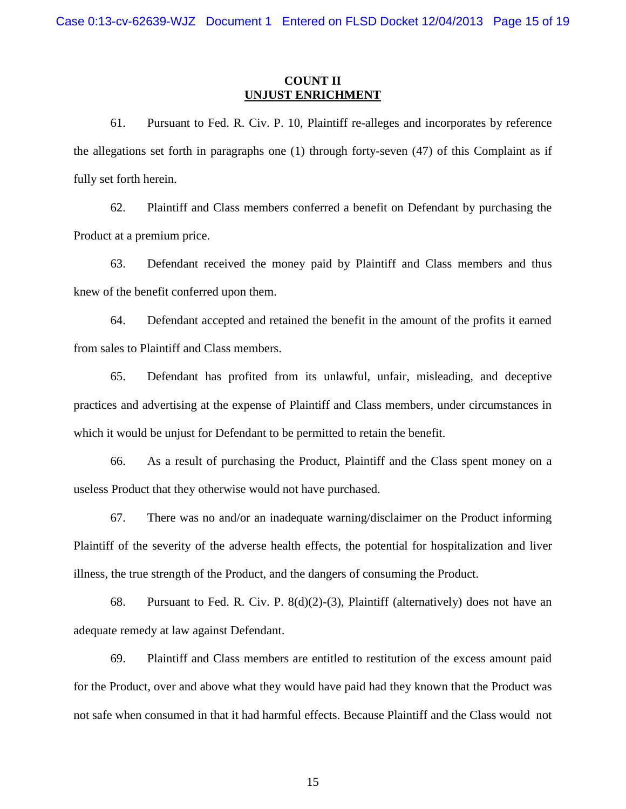## **COUNT II UNJUST ENRICHMENT**

61. Pursuant to Fed. R. Civ. P. 10, Plaintiff re-alleges and incorporates by reference the allegations set forth in paragraphs one (1) through forty-seven (47) of this Complaint as if fully set forth herein.

62. Plaintiff and Class members conferred a benefit on Defendant by purchasing the Product at a premium price.

63. Defendant received the money paid by Plaintiff and Class members and thus knew of the benefit conferred upon them.

64. Defendant accepted and retained the benefit in the amount of the profits it earned from sales to Plaintiff and Class members.

65. Defendant has profited from its unlawful, unfair, misleading, and deceptive practices and advertising at the expense of Plaintiff and Class members, under circumstances in which it would be unjust for Defendant to be permitted to retain the benefit.

66. As a result of purchasing the Product, Plaintiff and the Class spent money on a useless Product that they otherwise would not have purchased.

67. There was no and/or an inadequate warning/disclaimer on the Product informing Plaintiff of the severity of the adverse health effects, the potential for hospitalization and liver illness, the true strength of the Product, and the dangers of consuming the Product.

68. Pursuant to Fed. R. Civ. P. 8(d)(2)-(3), Plaintiff (alternatively) does not have an adequate remedy at law against Defendant.

69. Plaintiff and Class members are entitled to restitution of the excess amount paid for the Product, over and above what they would have paid had they known that the Product was not safe when consumed in that it had harmful effects. Because Plaintiff and the Class would not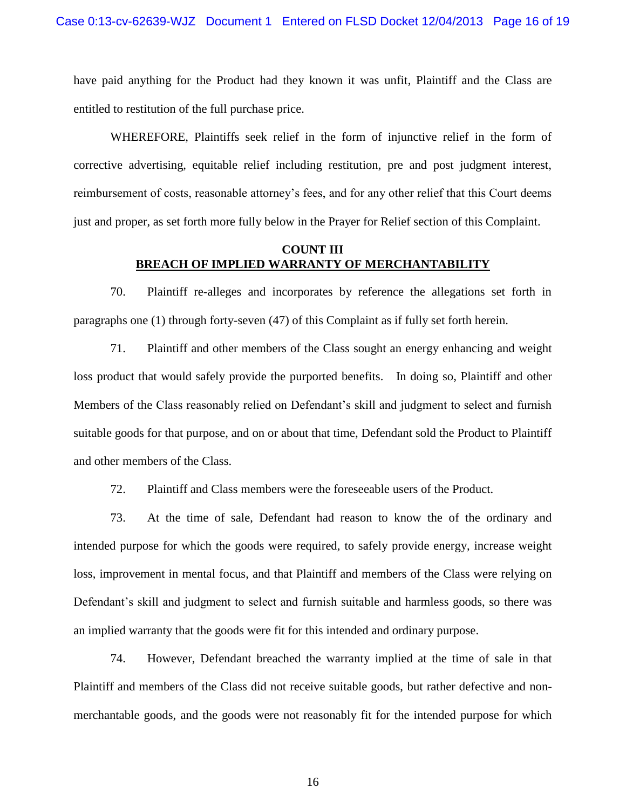have paid anything for the Product had they known it was unfit, Plaintiff and the Class are entitled to restitution of the full purchase price.

WHEREFORE, Plaintiffs seek relief in the form of injunctive relief in the form of corrective advertising, equitable relief including restitution, pre and post judgment interest, reimbursement of costs, reasonable attorney's fees, and for any other relief that this Court deems just and proper, as set forth more fully below in the Prayer for Relief section of this Complaint.

# **COUNT III BREACH OF IMPLIED WARRANTY OF MERCHANTABILITY**

70. Plaintiff re-alleges and incorporates by reference the allegations set forth in paragraphs one (1) through forty-seven (47) of this Complaint as if fully set forth herein.

71. Plaintiff and other members of the Class sought an energy enhancing and weight loss product that would safely provide the purported benefits. In doing so, Plaintiff and other Members of the Class reasonably relied on Defendant's skill and judgment to select and furnish suitable goods for that purpose, and on or about that time, Defendant sold the Product to Plaintiff and other members of the Class.

72. Plaintiff and Class members were the foreseeable users of the Product.

73. At the time of sale, Defendant had reason to know the of the ordinary and intended purpose for which the goods were required, to safely provide energy, increase weight loss, improvement in mental focus, and that Plaintiff and members of the Class were relying on Defendant's skill and judgment to select and furnish suitable and harmless goods, so there was an implied warranty that the goods were fit for this intended and ordinary purpose.

74. However, Defendant breached the warranty implied at the time of sale in that Plaintiff and members of the Class did not receive suitable goods, but rather defective and nonmerchantable goods, and the goods were not reasonably fit for the intended purpose for which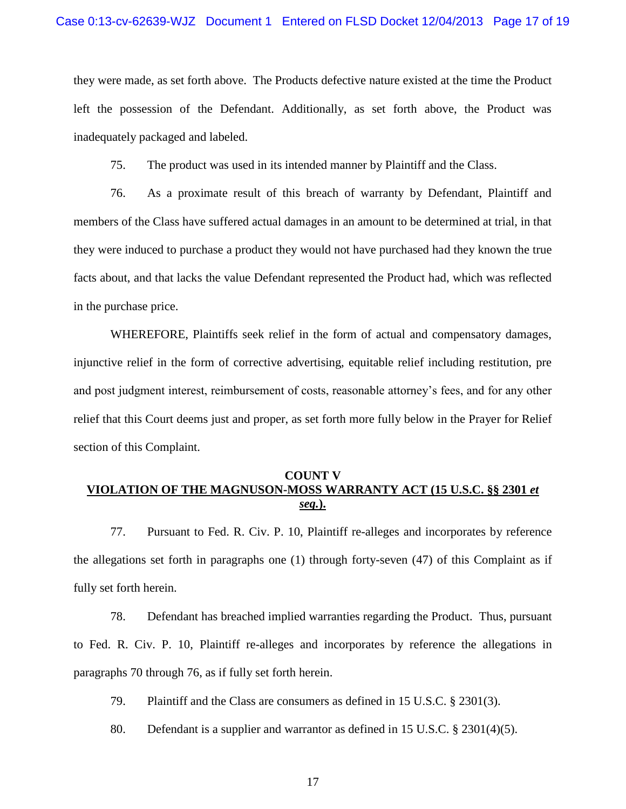they were made, as set forth above. The Products defective nature existed at the time the Product left the possession of the Defendant. Additionally, as set forth above, the Product was inadequately packaged and labeled.

75. The product was used in its intended manner by Plaintiff and the Class.

76. As a proximate result of this breach of warranty by Defendant, Plaintiff and members of the Class have suffered actual damages in an amount to be determined at trial, in that they were induced to purchase a product they would not have purchased had they known the true facts about, and that lacks the value Defendant represented the Product had, which was reflected in the purchase price.

WHEREFORE, Plaintiffs seek relief in the form of actual and compensatory damages, injunctive relief in the form of corrective advertising, equitable relief including restitution, pre and post judgment interest, reimbursement of costs, reasonable attorney's fees, and for any other relief that this Court deems just and proper, as set forth more fully below in the Prayer for Relief section of this Complaint.

# **COUNT V VIOLATION OF THE MAGNUSON-MOSS WARRANTY ACT (15 U.S.C. §§ 2301** *et seq.***).**

77. Pursuant to Fed. R. Civ. P. 10, Plaintiff re-alleges and incorporates by reference the allegations set forth in paragraphs one (1) through forty-seven (47) of this Complaint as if fully set forth herein.

78. Defendant has breached implied warranties regarding the Product. Thus, pursuant to Fed. R. Civ. P. 10, Plaintiff re-alleges and incorporates by reference the allegations in paragraphs 70 through 76, as if fully set forth herein.

79. Plaintiff and the Class are consumers as defined in 15 U.S.C. § 2301(3).

80. Defendant is a supplier and warrantor as defined in 15 U.S.C. § 2301(4)(5).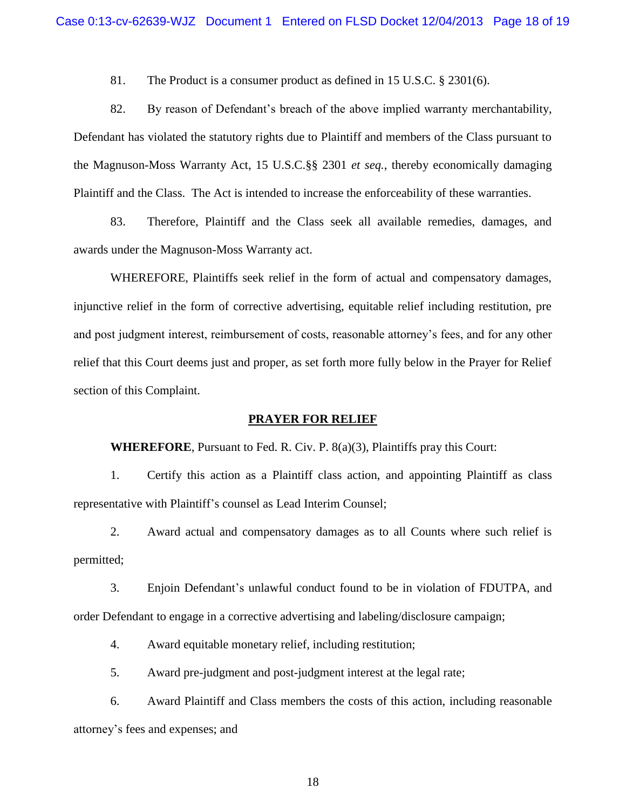81. The Product is a consumer product as defined in 15 U.S.C. § 2301(6).

82. By reason of Defendant's breach of the above implied warranty merchantability, Defendant has violated the statutory rights due to Plaintiff and members of the Class pursuant to the Magnuson-Moss Warranty Act, 15 U.S.C.§§ 2301 *et seq.*, thereby economically damaging Plaintiff and the Class. The Act is intended to increase the enforceability of these warranties.

83. Therefore, Plaintiff and the Class seek all available remedies, damages, and awards under the Magnuson-Moss Warranty act.

WHEREFORE, Plaintiffs seek relief in the form of actual and compensatory damages, injunctive relief in the form of corrective advertising, equitable relief including restitution, pre and post judgment interest, reimbursement of costs, reasonable attorney's fees, and for any other relief that this Court deems just and proper, as set forth more fully below in the Prayer for Relief section of this Complaint.

#### **PRAYER FOR RELIEF**

**WHEREFORE**, Pursuant to Fed. R. Civ. P. 8(a)(3), Plaintiffs pray this Court:

1. Certify this action as a Plaintiff class action, and appointing Plaintiff as class representative with Plaintiff's counsel as Lead Interim Counsel;

2. Award actual and compensatory damages as to all Counts where such relief is permitted;

3. Enjoin Defendant's unlawful conduct found to be in violation of FDUTPA, and order Defendant to engage in a corrective advertising and labeling/disclosure campaign;

4. Award equitable monetary relief, including restitution;

5. Award pre-judgment and post-judgment interest at the legal rate;

6. Award Plaintiff and Class members the costs of this action, including reasonable attorney's fees and expenses; and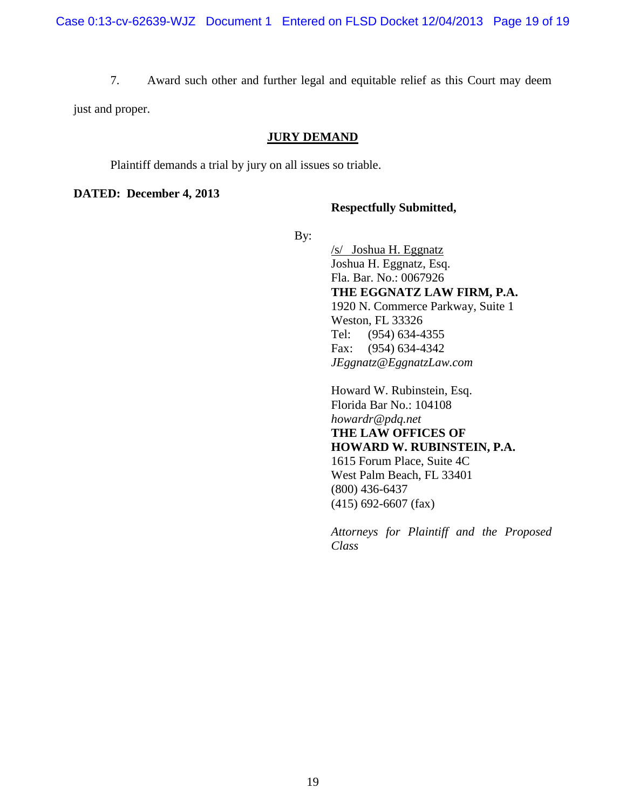7. Award such other and further legal and equitable relief as this Court may deem just and proper.

## **JURY DEMAND**

Plaintiff demands a trial by jury on all issues so triable.

#### **DATED: December 4, 2013**

## **Respectfully Submitted,**

By:

/s/ Joshua H. Eggnatz Joshua H. Eggnatz, Esq. Fla. Bar. No.: 0067926 **THE EGGNATZ LAW FIRM, P.A.** 1920 N. Commerce Parkway, Suite 1 Weston, FL 33326 Tel: (954) 634-4355 Fax: (954) 634-4342 *[JEggnatz@EggnatzLaw.com](mailto:JEggnatz@EggnatzLaw.com)*

Howard W. Rubinstein, Esq. Florida Bar No.: 104108 *howardr@pdq.net* **THE LAW OFFICES OF HOWARD W. RUBINSTEIN, P.A.** 1615 Forum Place, Suite 4C West Palm Beach, FL 33401 (800) 436-6437 (415) 692-6607 (fax)

*Attorneys for Plaintiff and the Proposed Class*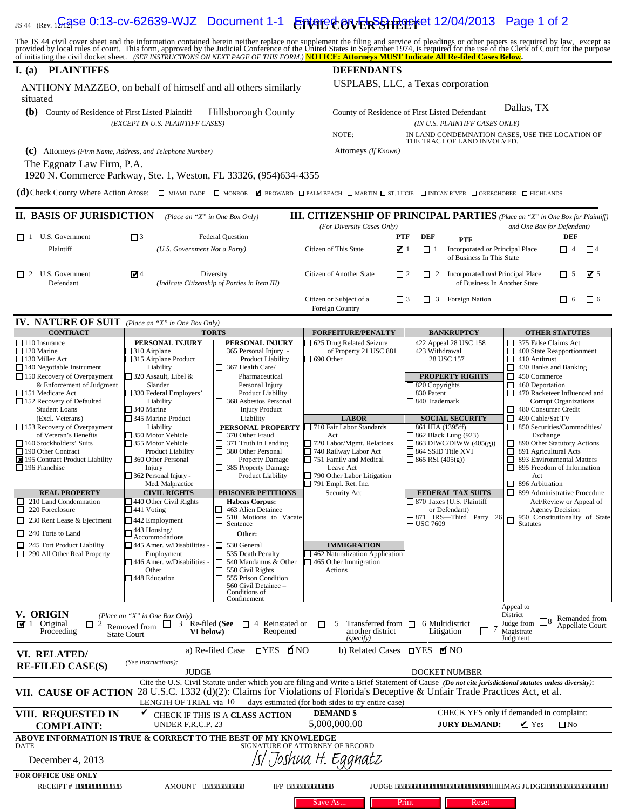# <sub>JS 44 (Rev. 1GgSe 0:13-cv-62639-WJZ Document 1-1 **Entered on EleSSHEOCK**et 12/04/2013 Page 1 of 2</sub>

The JS 44 civil cover sheet and the information contained herein neither replace nor supplement the filing and service of pleadings or other papers as required by law, except as<br>provided by local rules of court. This form,

#### **I. (a) PLAINTIFFS DEFENDANTS**

USPLABS, LLC, a Texas corporation

|                      | County of Residence of First Listed Defendant | Dallas, TX                                      |
|----------------------|-----------------------------------------------|-------------------------------------------------|
|                      | (IN U.S. PLAINTIFF CASES ONLY)                |                                                 |
| NOTE:                | THE TRACT OF LAND INVOLVED.                   | IN LAND CONDEMNATION CASES, USE THE LOCATION OF |
| Attorneys (If Known) |                                               |                                                 |
|                      |                                               |                                                 |

| II. BASIS OF JURISDICTION |                              | (Place an "X" in One Box Only) | (For Diversity Cases Only)                                 | <b>III. CITIZENSHIP OF PRINCIPAL PARTIES</b> (Place an "X" in One Box for Plaintiff)<br>and One Box for Defendant) |                 |            |                                                                            |                 |                |
|---------------------------|------------------------------|--------------------------------|------------------------------------------------------------|--------------------------------------------------------------------------------------------------------------------|-----------------|------------|----------------------------------------------------------------------------|-----------------|----------------|
|                           | U.S. Government<br>Plaintiff | $\Box$ 3                       | <b>Federal Question</b><br>(U.S. Government Not a Party)   | Citizen of This State                                                                                              | <b>PTF</b><br>☑ | <b>DEF</b> | <b>PTF</b><br>Incorporated or Principal Place<br>of Business In This State | DEF<br>$\Box$ 4 | $\Box$ 4       |
|                           | U.S. Government<br>Defendant | <b>74</b>                      | Diversity<br>(Indicate Citizenship of Parties in Item III) | Citizen of Another State                                                                                           |                 |            | Incorporated and Principal Place<br>of Business In Another State           | II 5            | $\mathbb{Z}$ 5 |
|                           |                              |                                |                                                            | Citizen or Subject of a<br>Foreign Country                                                                         |                 |            | Foreign Nation                                                             | $\vert$ 6       | $\Box$ 6       |

| ANTHONY MAZZEO, on behalf of himself and all others similarly                                                                                                                              |                                                                                        |                                                            | USPLABS, LLC, a Texas corporation                                                                                                                                                                         |                                                      |                                                                                |                                                                     |                                                   |                                  |
|--------------------------------------------------------------------------------------------------------------------------------------------------------------------------------------------|----------------------------------------------------------------------------------------|------------------------------------------------------------|-----------------------------------------------------------------------------------------------------------------------------------------------------------------------------------------------------------|------------------------------------------------------|--------------------------------------------------------------------------------|---------------------------------------------------------------------|---------------------------------------------------|----------------------------------|
| situated<br>(b)<br>County of Residence of First Listed Plaintiff                                                                                                                           | Dallas, TX<br>County of Residence of First Listed Defendant                            |                                                            |                                                                                                                                                                                                           |                                                      |                                                                                |                                                                     |                                                   |                                  |
| (EXCEPT IN U.S. PLAINTIFF CASES)                                                                                                                                                           | (IN U.S. PLAINTIFF CASES ONLY)                                                         |                                                            |                                                                                                                                                                                                           |                                                      |                                                                                |                                                                     |                                                   |                                  |
|                                                                                                                                                                                            |                                                                                        |                                                            | NOTE:                                                                                                                                                                                                     |                                                      | IN LAND CONDEMNATION CASES, USE THE LOCATION OF<br>THE TRACT OF LAND INVOLVED. |                                                                     |                                                   |                                  |
| (c) Attorneys (Firm Name, Address, and Telephone Number)                                                                                                                                   |                                                                                        |                                                            | Attorneys (If Known)                                                                                                                                                                                      |                                                      |                                                                                |                                                                     |                                                   |                                  |
| The Eggnatz Law Firm, P.A.                                                                                                                                                                 |                                                                                        |                                                            |                                                                                                                                                                                                           |                                                      |                                                                                |                                                                     |                                                   |                                  |
| 1920 N. Commerce Parkway, Ste. 1, Weston, FL 33326, (954)634-4355                                                                                                                          |                                                                                        |                                                            |                                                                                                                                                                                                           |                                                      |                                                                                |                                                                     |                                                   |                                  |
| (d) Check County Where Action Arose: $\Box$ MIAMI-DADE $\Box$ MONROE $\Box$ BROWARD $\Box$ PALM BEACH $\Box$ MARTIN $\Box$ ST. LUCIE $\Box$ MDIAN RIVER $\Box$ OKEECHOBEE $\Box$ HIGHLANDS |                                                                                        |                                                            |                                                                                                                                                                                                           |                                                      |                                                                                |                                                                     |                                                   |                                  |
| <b>II. BASIS OF JURISDICTION</b>                                                                                                                                                           | (Place an "X" in One Box Only)                                                         |                                                            | <b>III. CITIZENSHIP OF PRINCIPAL PARTIES</b> (Place an "X" in One Box for Plaintiff)<br>(For Diversity Cases Only)                                                                                        |                                                      |                                                                                | and One Box for Defendant)                                          |                                                   |                                  |
| U.S. Government<br>III                                                                                                                                                                     | $\Box$ 3                                                                               | <b>Federal Question</b>                                    |                                                                                                                                                                                                           | <b>DEF</b><br><b>PTF</b>                             | <b>PTF</b>                                                                     |                                                                     | <b>DEF</b>                                        |                                  |
| Plaintiff                                                                                                                                                                                  | (U.S. Government Not a Party)                                                          |                                                            | Citizen of This State                                                                                                                                                                                     | $\mathbf{Z}$ <sup>1</sup><br>$\Box$ 1                | Incorporated or Principal Place<br>of Business In This State                   |                                                                     | $\Box$ 4                                          | $\Box$                           |
| U.S. Government<br>$\Box$ 2<br>Defendant                                                                                                                                                   | $Z^4$                                                                                  | Diversity<br>(Indicate Citizenship of Parties in Item III) | Citizen of Another State                                                                                                                                                                                  | $\Box$ 2<br>$\Box$ 2                                 | Incorporated and Principal Place<br>of Business In Another State               |                                                                     | $\Box$ 5                                          | $\mathbb{Z}$ 5                   |
|                                                                                                                                                                                            |                                                                                        |                                                            | Citizen or Subject of a<br>Foreign Country                                                                                                                                                                | $\Box$ 3                                             | $\Box$ 3 Foreign Nation                                                        |                                                                     | □ 6                                               | $\Box$ 6                         |
| <b>IV. NATURE OF SUIT</b> (Place an "X" in One Box Only)                                                                                                                                   |                                                                                        |                                                            |                                                                                                                                                                                                           |                                                      |                                                                                |                                                                     |                                                   |                                  |
| <b>CONTRACT</b>                                                                                                                                                                            |                                                                                        | <b>TORTS</b>                                               | <b>FORFEITURE/PENALTY</b>                                                                                                                                                                                 |                                                      | <b>BANKRUPTCY</b>                                                              |                                                                     | <b>OTHER STATUTES</b>                             |                                  |
| 110 Insurance<br>$\Box$ 120 Marine                                                                                                                                                         | PERSONAL INJURY<br>310 Airplane                                                        | PERSONAL INJURY<br>$\Box$ 365 Personal Injury -            | 625 Drug Related Seizure<br>of Property 21 USC 881                                                                                                                                                        | 423 Withdrawal                                       | $\Box$ 422 Appeal 28 USC 158                                                   | 375 False Claims Act<br>400 State Reapportionment<br>□              |                                                   |                                  |
| $\Box$ 130 Miller Act                                                                                                                                                                      | 315 Airplane Product                                                                   | <b>Product Liability</b>                                   | $\Box$ 690 Other                                                                                                                                                                                          |                                                      | 28 USC 157                                                                     | 410 Antitrust                                                       |                                                   |                                  |
| $\Box$ 140 Negotiable Instrument<br>$\Box$ 150 Recovery of Overpayment                                                                                                                     | Liability<br>$\Box$ 320 Assault, Libel &                                               | $\Box$ 367 Health Care/<br>Pharmaceutical                  |                                                                                                                                                                                                           |                                                      | <b>PROPERTY RIGHTS</b>                                                         | □<br>430 Banks and Banking<br>◻<br>450 Commerce                     |                                                   |                                  |
| & Enforcement of Judgment<br>151 Medicare Act                                                                                                                                              | Slander<br>$\Box$ 330 Federal Employers'                                               | Personal Injury<br>Product Liability                       |                                                                                                                                                                                                           | $\Box$ 820 Copyrights<br>□ 830 Patent                |                                                                                | 460 Deportation<br>□<br>$\Box$<br>470 Racketeer Influenced and      |                                                   |                                  |
| $\Box$ 152 Recovery of Defaulted                                                                                                                                                           | Liability                                                                              | 368 Asbestos Personal                                      |                                                                                                                                                                                                           | 840 Trademark                                        |                                                                                |                                                                     | <b>Corrupt Organizations</b>                      |                                  |
| <b>Student Loans</b><br>(Excl. Veterans)                                                                                                                                                   | □ 340 Marine<br>□ 345 Marine Product                                                   | <b>Injury Product</b><br>Liability                         | <b>LABOR</b>                                                                                                                                                                                              |                                                      | <b>SOCIAL SECURITY</b>                                                         | 480 Consumer Credit<br>$\overline{\phantom{a}}$<br>490 Cable/Sat TV |                                                   |                                  |
| $\Box$ 153 Recovery of Overpayment                                                                                                                                                         | Liability                                                                              | PERSONAL PROPERTY                                          | 710 Fair Labor Standards                                                                                                                                                                                  | $-861$ HIA (1395ff)                                  |                                                                                | $\Box$ 850 Securities/Commodities/                                  |                                                   |                                  |
| of Veteran's Benefits<br>$\Box$ 160 Stockholders' Suits                                                                                                                                    | $\Box$ 350 Motor Vehicle<br>□ 355 Motor Vehicle                                        | 370 Other Fraud<br>$\Box$ 371 Truth in Lending             | Act<br>$\Box$ 720 Labor/Mgmt. Relations                                                                                                                                                                   | $\Box$ 862 Black Lung (923)                          | $\Box$ 863 DIWC/DIWW (405(g))                                                  | Exchange<br>890 Other Statutory Actions                             |                                                   |                                  |
| $\Box$ 190 Other Contract<br>8 195 Contract Product Liability                                                                                                                              | <b>Product Liability</b><br>360 Other Personal                                         | 380 Other Personal<br><b>Property Damage</b>               | 740 Railway Labor Act<br>751 Family and Medical                                                                                                                                                           | $\Box$ 864 SSID Title XVI<br>$\Box$ 865 RSI (405(g)) |                                                                                | 891 Agricultural Acts<br>□<br>ō<br>893 Environmental Matters        |                                                   |                                  |
| $\Box$ 196 Franchise                                                                                                                                                                       | Injury                                                                                 | 385 Property Damage                                        | Leave Act                                                                                                                                                                                                 |                                                      |                                                                                | □<br>895 Freedom of Information                                     |                                                   |                                  |
|                                                                                                                                                                                            | 362 Personal Injury -<br>Med. Malpractice                                              | Product Liability                                          | $\Box$ 790 Other Labor Litigation<br>$\Box$ 791 Empl. Ret. Inc.                                                                                                                                           |                                                      |                                                                                | Act<br>□ 896 Arbitration                                            |                                                   |                                  |
| <b>REAL PROPERTY</b><br>$\Box$ 210 Land Condemnation                                                                                                                                       | <b>CIVIL RIGHTS</b><br>440 Other Civil Rights                                          | <b>PRISONER PETITIONS</b>                                  | Security Act                                                                                                                                                                                              |                                                      | <b>FEDERAL TAX SUITS</b><br>870 Taxes (U.S. Plaintiff                          | □ 899 Administrative Procedure                                      |                                                   |                                  |
| $\Box$ 220 Foreclosure                                                                                                                                                                     | $\Box$ 441 Voting                                                                      | <b>Habeas Corpus:</b><br>$\Box$ 463 Alien Detainee         |                                                                                                                                                                                                           |                                                      | or Defendant)                                                                  |                                                                     | Act/Review or Appeal of<br><b>Agency Decision</b> |                                  |
| $\Box$ 230 Rent Lease & Ejectment                                                                                                                                                          | $\Box$ 442 Employment                                                                  | 510 Motions to Vacate<br>$\Box$<br>Sentence                |                                                                                                                                                                                                           |                                                      | $\frac{871}{USC}$ TRS—Third Party 26                                           | 950 Constitutionality of State<br><b>Statutes</b>                   |                                                   |                                  |
| $\Box$ 240 Torts to Land                                                                                                                                                                   | 443 Housing/<br>Accommodations                                                         | Other:                                                     |                                                                                                                                                                                                           |                                                      |                                                                                |                                                                     |                                                   |                                  |
| 245 Tort Product Liability<br>$\Box$ 290 All Other Real Property                                                                                                                           | 445 Amer. w/Disabilities -<br>Employment                                               | $\Box$ 530 General<br>535 Death Penalty                    | <b>IMMIGRATION</b><br>462 Naturalization Application                                                                                                                                                      |                                                      |                                                                                |                                                                     |                                                   |                                  |
|                                                                                                                                                                                            | 446 Amer. w/Disabilities                                                               | □<br>540 Mandamus & Other                                  | $\Box$ 465 Other Immigration                                                                                                                                                                              |                                                      |                                                                                |                                                                     |                                                   |                                  |
|                                                                                                                                                                                            | Other<br>$\Box$ 448 Education                                                          | □<br>550 Civil Rights<br>555 Prison Condition<br>ப         | Actions                                                                                                                                                                                                   |                                                      |                                                                                |                                                                     |                                                   |                                  |
|                                                                                                                                                                                            |                                                                                        | 560 Civil Detainee -<br>□<br>Conditions of                 |                                                                                                                                                                                                           |                                                      |                                                                                |                                                                     |                                                   |                                  |
|                                                                                                                                                                                            |                                                                                        | Confinement                                                |                                                                                                                                                                                                           |                                                      |                                                                                | Appeal to                                                           |                                                   |                                  |
| V. ORIGIN<br>Original<br>$\mathbf{V}$ 1<br>$\Box$ 2<br>Proceeding                                                                                                                          | (Place an "X" in One Box Only)<br>3<br>Removed from<br>VI below)<br><b>State Court</b> | Re-filed (See $\Box$ 4 Reinstated or<br>Reopened           | Transferred from $\Box$<br>П<br>5<br>another district<br>(specify)                                                                                                                                        |                                                      | 6 Multidistrict<br>$\overline{1}$<br>Litigation                                | District<br>$\Box$ 8<br>Judge from<br>Magistrate<br>Judgment        |                                                   | Remanded from<br>Appellate Court |
| VI. RELATED/                                                                                                                                                                               |                                                                                        | □YES KNO<br>a) Re-filed Case                               | b) Related Cases $\Box$ YES <b>M</b> NO                                                                                                                                                                   |                                                      |                                                                                |                                                                     |                                                   |                                  |
| <b>RE-FILED CASE(S)</b>                                                                                                                                                                    | (See instructions):<br><b>JUDGE</b>                                                    |                                                            |                                                                                                                                                                                                           |                                                      | DOCKET NUMBER                                                                  |                                                                     |                                                   |                                  |
| VII. CAUSE OF ACTION 28 U.S.C. 1332 (d)(2): Claims for Violations of Florida's Deceptive & Unfair Trade Practices Act, et al.                                                              | LENGTH OF TRIAL via 10                                                                 |                                                            | Cite the U.S. Civil Statute under which you are filing and Write a Brief Statement of Cause (Do not cite jurisdictional statutes unless diversity):<br>days estimated (for both sides to try entire case) |                                                      |                                                                                |                                                                     |                                                   |                                  |
| VIII. REQUESTED IN                                                                                                                                                                         | Ø                                                                                      | CHECK IF THIS IS A CLASS ACTION                            | <b>DEMAND</b> \$<br>5,000,000.00                                                                                                                                                                          |                                                      | CHECK YES only if demanded in complaint:                                       |                                                                     |                                                   |                                  |
| <b>COMPLAINT:</b><br>ABOVE INFORMATION IS TRUE & CORRECT TO THE BEST OF MY KNOWLEDGE                                                                                                       | UNDER F.R.C.P. 23                                                                      |                                                            | SIGNATURE OF ATTORNEY OF RECORD                                                                                                                                                                           |                                                      | <b>JURY DEMAND:</b>                                                            | $\blacksquare$ Yes                                                  | $\square$ No                                      |                                  |
| DATE<br>December 4, 2013                                                                                                                                                                   |                                                                                        |                                                            | Is/ Joshua H. Eqqnatz                                                                                                                                                                                     |                                                      |                                                                                |                                                                     |                                                   |                                  |
| FOR OFFICE USE ONLY                                                                                                                                                                        |                                                                                        |                                                            |                                                                                                                                                                                                           |                                                      |                                                                                |                                                                     |                                                   |                                  |
| RECEIPT # aaaaaaaaaaaaa                                                                                                                                                                    | AMOUNT "aaaaaaaaaaa                                                                    |                                                            | IFP aaaaaaaaaaaaa                                                                                                                                                                                         |                                                      | JUDGE aaaaaaaaaaaaaaaaaaaaaaaaaa"""""MAG JUDGE"aaaaaaaaaaaaaaaaa               |                                                                     |                                                   |                                  |

Save As... **First** Print Reset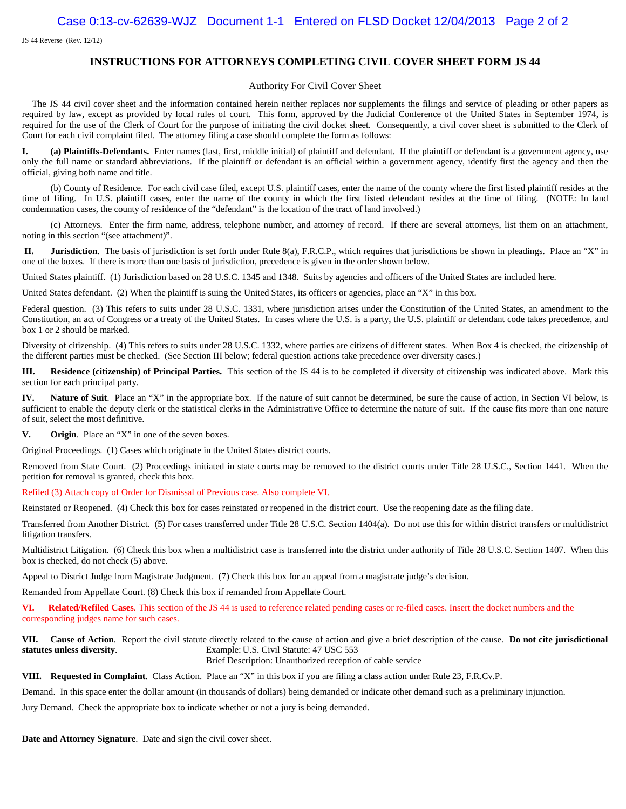JS 44 Reverse (Rev. 12/12)

#### **INSTRUCTIONS FOR ATTORNEYS COMPLETING CIVIL COVER SHEET FORM JS 44**

#### Authority For Civil Cover Sheet

The JS 44 civil cover sheet and the information contained herein neither replaces nor supplements the filings and service of pleading or other papers as required by law, except as provided by local rules of court. This form, approved by the Judicial Conference of the United States in September 1974, is required for the use of the Clerk of Court for the purpose of initiating the civil docket sheet. Consequently, a civil cover sheet is submitted to the Clerk of Court for each civil complaint filed. The attorney filing a case should complete the form as follows:

(a) Plaintiffs-Defendants. Enter names (last, first, middle initial) of plaintiff and defendant. If the plaintiff or defendant is a government agency, use only the full name or standard abbreviations. If the plaintiff or defendant is an official within a government agency, identify first the agency and then the official, giving both name and title.

(b) County of Residence. For each civil case filed, except U.S. plaintiff cases, enter the name of the county where the first listed plaintiff resides at the time of filing. In U.S. plaintiff cases, enter the name of the county in which the first listed defendant resides at the time of filing. (NOTE: In land condemnation cases, the county of residence of the "defendant" is the location of the tract of land involved.)

(c) Attorneys. Enter the firm name, address, telephone number, and attorney of record. If there are several attorneys, list them on an attachment, noting in this section "(see attachment)".

**II. Jurisdiction**. The basis of jurisdiction is set forth under Rule 8(a), F.R.C.P., which requires that jurisdictions be shown in pleadings. Place an "X" in one of the boxes. If there is more than one basis of jurisdiction, precedence is given in the order shown below.

United States plaintiff. (1) Jurisdiction based on 28 U.S.C. 1345 and 1348. Suits by agencies and officers of the United States are included here.

United States defendant. (2) When the plaintiff is suing the United States, its officers or agencies, place an "X" in this box.

Federal question. (3) This refers to suits under 28 U.S.C. 1331, where jurisdiction arises under the Constitution of the United States, an amendment to the Constitution, an act of Congress or a treaty of the United States. In cases where the U.S. is a party, the U.S. plaintiff or defendant code takes precedence, and box 1 or 2 should be marked.

Diversity of citizenship. (4) This refers to suits under 28 U.S.C. 1332, where parties are citizens of different states. When Box 4 is checked, the citizenship of the different parties must be checked. (See Section III below; federal question actions take precedence over diversity cases.)

**III. Residence (citizenship) of Principal Parties.** This section of the JS 44 is to be completed if diversity of citizenship was indicated above. Mark this section for each principal party.

**IV. Nature of Suit**. Place an "X" in the appropriate box. If the nature of suit cannot be determined, be sure the cause of action, in Section VI below, is sufficient to enable the deputy clerk or the statistical clerks in the Administrative Office to determine the nature of suit. If the cause fits more than one nature of suit, select the most definitive.

**V. Origin**. Place an "X" in one of the seven boxes.

Original Proceedings. (1) Cases which originate in the United States district courts.

Removed from State Court. (2) Proceedings initiated in state courts may be removed to the district courts under Title 28 U.S.C., Section 1441. When the petition for removal is granted, check this box.

Refiled (3) Attach copy of Order for Dismissal of Previous case. Also complete VI.

Reinstated or Reopened. (4) Check this box for cases reinstated or reopened in the district court. Use the reopening date as the filing date.

Transferred from Another District. (5) For cases transferred under Title 28 U.S.C. Section 1404(a). Do not use this for within district transfers or multidistrict litigation transfers.

Multidistrict Litigation. (6) Check this box when a multidistrict case is transferred into the district under authority of Title 28 U.S.C. Section 1407. When this box is checked, do not check (5) above.

Appeal to District Judge from Magistrate Judgment. (7) Check this box for an appeal from a magistrate judge's decision.

Remanded from Appellate Court. (8) Check this box if remanded from Appellate Court.

**VI. Related/Refiled Cases**. This section of the JS 44 is used to reference related pending cases or re-filed cases. Insert the docket numbers and the corresponding judges name for such cases.

**VII. Cause of Action**. Report the civil statute directly related to the cause of action and give a brief description of the cause. **Do not cite jurisdictional statutes unless diversity**. Example: U.S. Civil Statute: 47 USC 553 Brief Description: Unauthorized reception of cable service

**VIII. Requested in Complaint**. Class Action. Place an "X" in this box if you are filing a class action under Rule 23, F.R.Cv.P.

Demand. In this space enter the dollar amount (in thousands of dollars) being demanded or indicate other demand such as a preliminary injunction.

Jury Demand. Check the appropriate box to indicate whether or not a jury is being demanded.

**Date and Attorney Signature**. Date and sign the civil cover sheet.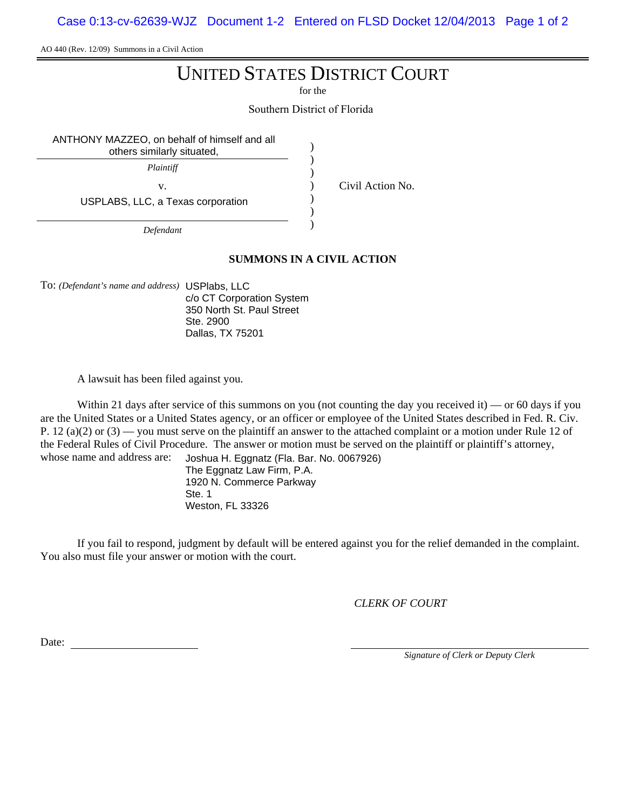Case 0:13-cv-62639-WJZ Document 1-2 Entered on FLSD Docket 12/04/2013 Page 1 of 2

AO 440 (Rev. 12/09) Summons in a Civil Action

# UNITED STATES DISTRICT COURT

for the

Southern District of Florida

) ) ) ) ) ) )

ANTHONY MAZZEO, on behalf of himself and all

*Plaintiff* v. Civil Action No. others similarly situated, USPLABS, LLC, a Texas corporation

*Defendant*

#### **SUMMONS IN A CIVIL ACTION**

To: *(Defendant's name and address)* USPlabs, LLC c/o CT Corporation System 350 North St. Paul Street Ste. 2900 Dallas, TX 75201

A lawsuit has been filed against you.

Within 21 days after service of this summons on you (not counting the day you received it) — or 60 days if you are the United States or a United States agency, or an officer or employee of the United States described in Fed. R. Civ. P. 12 (a)(2) or (3) — you must serve on the plaintiff an answer to the attached complaint or a motion under Rule 12 of the Federal Rules of Civil Procedure. The answer or motion must be served on the plaintiff or plaintiff's attorney, whose name and address are:

Joshua H. Eggnatz (Fla. Bar. No. 0067926) The Eggnatz Law Firm, P.A. 1920 N. Commerce Parkway Ste. 1 Weston, FL 33326

If you fail to respond, judgment by default will be entered against you for the relief demanded in the complaint. You also must file your answer or motion with the court.

*CLERK OF COURT*

Date:

*Signature of Clerk or Deputy Clerk*